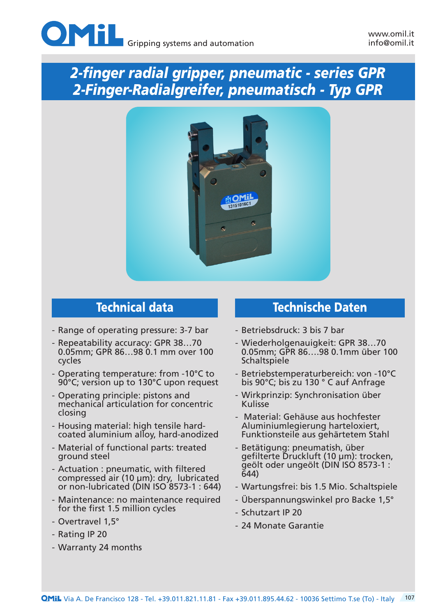

# *2-finger radial gripper, pneumatic - series GPR 2-Finger-Radialgreifer, pneumatisch - Typ GPR*



- Range of operating pressure: 3-7 bar
- Repeatability accuracy: GPR 38…70 0.05mm; GPR 86…98 0.1 mm over 100 cycles
- Operating temperature: from -10°C to 90°C; version up to 130°C upon request
- Operating principle: pistons and mechanical articulation for concentric closing
- Housing material: high tensile hardcoated aluminium alloy, hard-anodized
- Material of functional parts: treated ground steel
- Actuation : pneumatic, with filtered compressed air (10 μm): dry, lubricated or non-lubricated (DIN ISO 8573-1 : 644)
- Maintenance: no maintenance required for the first 1.5 million cycles
- Overtravel 1,5°
- Rating IP 20
- Warranty 24 months

### Technical data Technische Daten

- Betriebsdruck: 3 bis 7 bar
- Wiederholgenauigkeit: GPR 38…70 0.05mm; GPR 86….98 0.1mm über 100 **Schaltspiele**
- Betriebstemperaturbereich: von -10°C bis 90°C; bis zu 130 ° C auf Anfrage
- Wirkprinzip: Synchronisation über Kulisse
- Material: Gehäuse aus hochfester Aluminiumlegierung harteloxiert, Funktionsteile aus gehärtetem Stahl
- Betätigung: pneumatish, über gefilterte Druckluft (10 μm): trocken, geölt oder ungeölt (DIN ISO 8573-1 : 644)
- Wartungsfrei: bis 1.5 Mio. Schaltspiele
- Überspannungswinkel pro Backe 1,5°
- Schutzart IP 20
- 24 Monate Garantie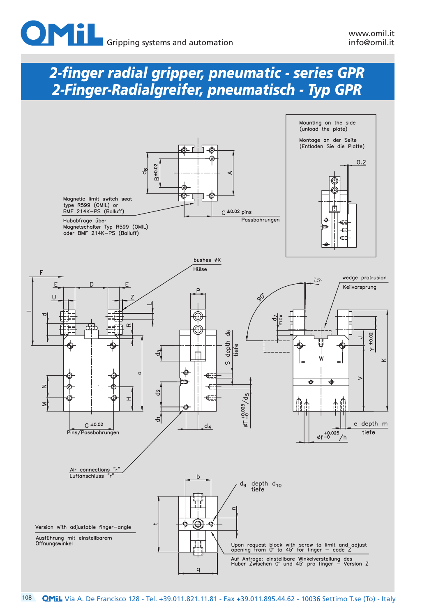# *2-finger radial gripper, pneumatic - series GPR 2-Finger-Radialgreifer, pneumatisch - Typ GPR*

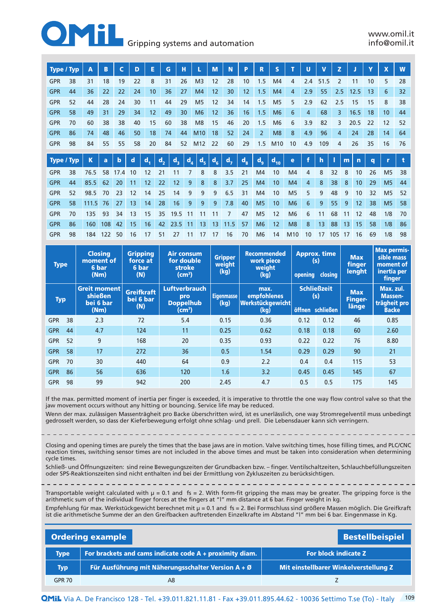

### **Gripping systems and automation**

| <b>Type / Typ</b> |    | Α     | B   | C           | D  | Е              |                  | G     | н     |                | M     | N              | P       | R              | S               |                | U   | V    | z              |    |      | Y  | X              | W  |
|-------------------|----|-------|-----|-------------|----|----------------|------------------|-------|-------|----------------|-------|----------------|---------|----------------|-----------------|----------------|-----|------|----------------|----|------|----|----------------|----|
| <b>GPR</b>        | 38 | 31    | 18  | 19          | 22 | 8              |                  | 31    | 26    | M <sub>3</sub> | 12    | 28             | 10      | 1.5            | M4              | 4              | 2.4 | 51.5 | $\overline{2}$ |    | 11   | 10 | 5              | 28 |
| <b>GPR</b>        | 44 | 36    | 22  | 22          | 24 | 10             |                  | 36    | 27    | M4             | 12    | 30             | 12      | 1.5            | M <sub>4</sub>  | 4              | 2.9 | 55   | 2.5            |    | 12.5 | 13 | 6              | 32 |
| <b>GPR</b>        | 52 | 44    | 28  | 24          | 30 | 11             |                  | 44    | 29    | M <sub>5</sub> | 12    | 34             | 14      | 1.5            | M <sub>5</sub>  | 5              | 2.9 | 62   | 2.5            |    | 15   | 15 | 8              | 38 |
| <b>GPR</b>        | 58 | 49    | 31  | 29          | 34 | 12             |                  | 49    | 30    | M <sub>6</sub> | 12    | 36             | 16      | 1.5            | M <sub>6</sub>  | 6              | 4   | 68   | 3              |    | 16.5 | 18 | 10             | 44 |
| <b>GPR</b>        | 70 | 60    | 38  | 38          | 40 | 15             |                  | 60    | 38    | M <sub>8</sub> | 15    | 46             | 20      | 1.5            | M <sub>6</sub>  | 6              | 3.9 | 82   | 3              |    | 20.5 | 22 | 12             | 52 |
| <b>GPR</b>        | 86 | 74    | 48  | 46          | 50 | 18             |                  | 74    | 44    | M10            | 18    | 52             | 24      | $\overline{2}$ | M <sub>8</sub>  | 8              | 4.9 | 96   | 4              |    | 24   | 28 | 14             | 64 |
| <b>GPR</b>        | 98 | 84    | 55  | 55          | 58 | 20             |                  | 84    | 52    | M12            | 22    | 60             | 29      | 1.5            | M <sub>10</sub> | 10             | 4.9 | 109  | 4              |    | 26   | 35 | 16             | 76 |
|                   |    |       |     |             |    |                |                  |       |       |                |       |                |         |                |                 |                |     |      |                |    |      |    |                |    |
| Type / Typ        |    | K     | a   | $\mathbf b$ | d  | d <sub>1</sub> | $\mathbf{d}_{2}$ | $d_3$ | $d_4$ | d <sub>5</sub> | $d_6$ | d <sub>7</sub> | $d_{8}$ | d <sub>9</sub> | $d_{10}$        | e              |     | h    |                | m  | n    | q  | r              | t  |
| <b>GPR</b>        | 38 | 76.5  | 58  | 17.4        | 10 | 12             | 21               | 11    | 7     | 8              | 8     | 3.5            | 21      | M <sub>4</sub> | 10              | M <sub>4</sub> | 4   | 8    | 32             | 8  | 10   | 26 | M <sub>5</sub> | 38 |
| <b>GPR</b>        | 44 | 85.5  | 62  | 20          | 11 | 12             | 22               | 12    | 9     | 8              | 8     | 3.7            | 25      | M4             | 10              | M <sub>4</sub> | 4   | 8    | 38             | 8  | 10   | 29 | M <sub>5</sub> | 44 |
| <b>GPR</b>        | 52 | 98.5  | 70  | 23          | 12 | 14             | 25               | 14    | 9     | 9              | 9     | 6.5            | 31      | M4             | 10              | M <sub>5</sub> | 5   | 9    | 48             | 9  | 10   | 32 | M <sub>5</sub> | 52 |
| <b>GPR</b>        | 58 | 111.5 | 76  | 27          | 13 | 14             | 28               | 16    | 9     | 9              | 9     | 7.8            | 40      | M <sub>5</sub> | 10              | M <sub>6</sub> | 6   | 9    | 55             | 9  | 12   | 38 | M <sub>5</sub> | 58 |
| <b>GPR</b>        | 70 | 135   | 93  | 34          | 13 | 15             | 35               | 19.5  | 11    | 11             | 11    | 7              | 47      | M <sub>5</sub> | 12              | M <sub>6</sub> | 6   | 11   | 68             | 11 | 12   | 48 | 1/8            | 70 |
| <b>GPR</b>        | 86 | 160   | 108 | 42          | 15 | 16             | 42               | 23.5  | 11    | 13             | 13    | 11.5           | 57      | M <sub>6</sub> | 12              | M <sub>8</sub> | 8   | 13   | 88             | 13 | 15   | 58 | 1/8            | 86 |
| <b>GPR</b>        | 98 | 184   | 122 | 50          | 16 | 17             | 51               | 27    | 11    | 17             | 17    | 16             | 70      | M <sub>6</sub> | 14              | M10            | 10  | 17   | 105            | 17 | 16   | 69 | 1/8            | 98 |

| <b>Type</b> |    | <b>Closing</b><br>moment of<br>6 bar<br>(Nm)                                                        | <b>Gripping</b><br>force at<br>6 bar<br>(N) |                                                                                                   | <b>Gripper</b><br>weight<br>(kg) | <b>Recommended</b><br>work piece<br>weight<br>(kg)     |      | <b>Approx. time</b><br>(s)<br>closing<br>opening | <b>Max</b><br>finger<br><b>lenght</b> | <b>Max permis-</b><br>sible mass<br>moment of<br>inertia per<br>finger |  |
|-------------|----|-----------------------------------------------------------------------------------------------------|---------------------------------------------|---------------------------------------------------------------------------------------------------|----------------------------------|--------------------------------------------------------|------|--------------------------------------------------|---------------------------------------|------------------------------------------------------------------------|--|
| <b>Typ</b>  |    | <b>Greit moment</b><br><b>Greifkraft</b><br><b>shießen</b><br>bei 6 bar<br>bei 6 bar<br>(N)<br>(Nm) |                                             | <b>Luftverbrauch</b><br><b>Eigenmasse</b><br>pro<br><b>Doppelhub</b><br>(kq)<br>$\textsf{(cm}^3)$ |                                  | max.<br><b>empfohlenes</b><br>Werkstückgewicht<br>(kg) |      | <b>Schließzeit</b><br>(s)<br>öffnen schließen    | <b>Max</b><br><b>Finger-</b><br>länge | Max. zul.<br><b>Massen-</b><br>trägheit pro<br><b>Backe</b>            |  |
| <b>GPR</b>  | 38 | 2.3                                                                                                 | 72                                          | 5.4                                                                                               | 0.15                             | 0.36                                                   | 0.12 | 0.12                                             | 46                                    | 0.85                                                                   |  |
| <b>GPR</b>  | 44 | 4.7                                                                                                 | 124                                         | 11                                                                                                | 0.25                             | 0.62                                                   | 0.18 | 0.18                                             | 60                                    | 2.60                                                                   |  |
| <b>GPR</b>  | 52 | 9                                                                                                   | 168                                         | 20                                                                                                | 0.35                             | 0.93                                                   | 0.22 | 0.22                                             | 76                                    | 8.80                                                                   |  |
| <b>GPR</b>  | 58 | 17                                                                                                  | 272                                         | 36                                                                                                | 0.5                              | 1.54                                                   | 0.29 | 0.29                                             | 90                                    | 21                                                                     |  |
| <b>GPR</b>  | 70 | 30                                                                                                  | 440                                         | 64                                                                                                | 0.9                              | 2.2                                                    | 0.4  | 0.4                                              | 115                                   | 53                                                                     |  |
| <b>GPR</b>  | 86 | 56                                                                                                  | 636                                         | 120                                                                                               | 1.6                              | 3.2                                                    | 0.45 | 0.45                                             | 145                                   | 67                                                                     |  |
| <b>GPR</b>  | 98 | 99                                                                                                  | 942                                         | 200                                                                                               | 2.45                             | 4.7                                                    | 0.5  | 0.5                                              | 175                                   | 145                                                                    |  |

If the max. permitted moment of inertia per finger is exceeded, it is imperative to throttle the one way flow control valve so that the jaw movement occurs without any hitting or bouncing. Service life may be reduced.

Wenn der max. zulässigen Massenträgheit pro Backe überschritten wird, ist es unerlässlich, one way Stromregelventil muss unbedingt gedrosselt werden, so dass der Kieferbewegung erfolgt ohne schlag- und prell. Die Lebensdauer kann sich verringern.

Closing and opening times are purely the times that the base jaws are in motion. Valve switching times, hose filling times, and PLC/CNC reaction times, switching sensor times are not included in the above times and must be taken into consideration when determining cycle times.

Schließ- und Öffnungszeiten: sind reine Bewegungszeiten der Grundbacken bzw. – finger. Ventilschaltzeiten, Schlauchbefüllungszeiten oder SPS-Reaktionszeiten sind nicht enthalten ind bei der Ermittlung von Zykluszeiten zu berücksichtigen.

Transportable weight calculated with  $\mu = 0.1$  and fs = 2. With form-fit gripping the mass may be greater. The gripping force is the

arithmetic sum of the individual finger forces at the fingers at "l" mm distance at 6 bar. Finger weight in kg. Empfehlung für max. Werkstückgewicht berechnet mit μ = 0.1 and fs = 2. Bei Formschluss sind größere Massen möglich. Die Greifkraft ist die arithmetische Summe der an den Greifbacken auftretenden Einzelkrafte im Abstand "l" mm bei 6 bar. Eingenmasse in Kg.

| <b>Ordering example</b><br><b>Bestellbeispiel</b> |                                                           |                                       |  |  |  |  |  |  |  |
|---------------------------------------------------|-----------------------------------------------------------|---------------------------------------|--|--|--|--|--|--|--|
| Type                                              | For brackets and cams indicate code $A +$ proximity diam. | For block indicate Z                  |  |  |  |  |  |  |  |
| Typ                                               | Für Ausführung mit Näherungsschalter Version A + Ø        | Mit einstellbarer Winkelverstellung Z |  |  |  |  |  |  |  |
| <b>GPR 70</b>                                     | A8                                                        |                                       |  |  |  |  |  |  |  |

109 Via A. De Francisco 128 - Tel. +39.011.821.11.81 - Fax +39.011.895.44.62 - 10036 Settimo T.se (To) - Italy Via A. De Francisco 128 - Tel. +39.011.821.11.81 - Fax +39.011.895.44.62 - 10036 Settimo T.se (To) - Italy